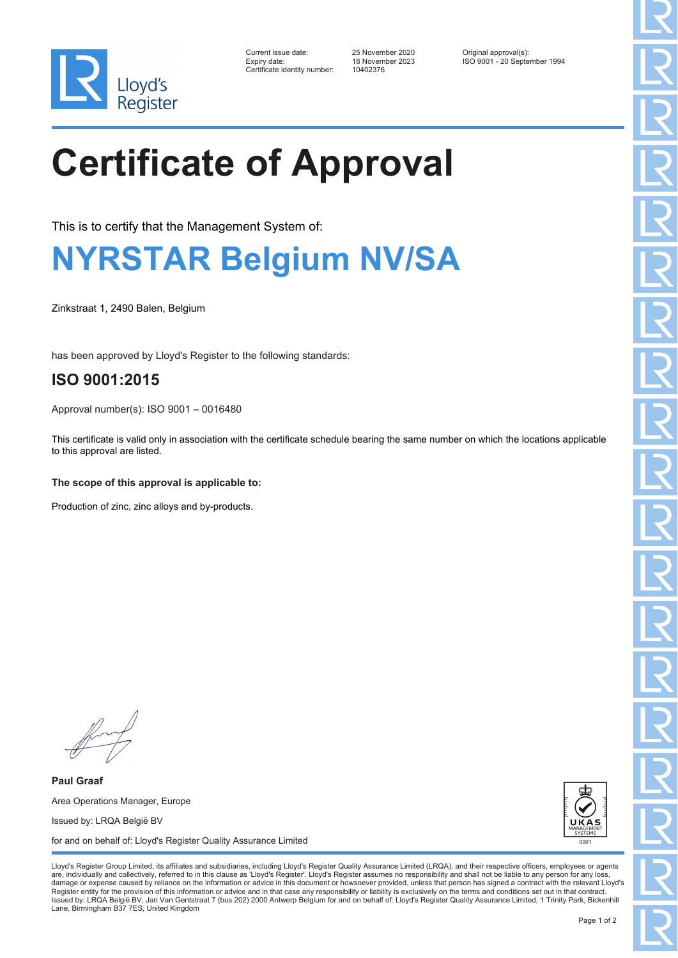

| Current issue date:         |
|-----------------------------|
| Expiry date:                |
| Certificate identity number |

Certificate identity number: 10402376

Current issue date: 25 November 2020 Original approval(s): Expiry date: 18 November 2023 ISO 9001 - 20 September 1994

# **Certificate of Approval**

This is to certify that the Management System of:

### **NYRSTAR Belgium NV/SA**

Zinkstraat 1, 2490 Balen, Belgium

has been approved by Lloyd's Register to the following standards:

### **ISO 9001:2015**

Approval number(s): ISO 9001 – 0016480

This certificate is valid only in association with the certificate schedule bearing the same number on which the locations applicable to this approval are listed.

#### **The scope of this approval is applicable to:**

Production of zinc, zinc alloys and by-products.

**Paul Graaf** Area Operations Manager, Europe Issued by: LRQA België BV for and on behalf of: Lloyd's Register Quality Assurance Limited



Lloyd's Register Group Limited, its affiliates and subsidiaries, including Lloyd's Register Quality Assurance Limited (LRQA), and their respective officers, employees or agents are, individually and collectively, referred to in this clause as 'Lloyd's Register'. Lloyd's Register assumes no responsibility and shall not be liable to any person for any los damage or expense caused by reliance on the information or advice in this document or howsoever provided, unless that person has signed a contract with the relevant Lloyd's<br>Register entity for the provision of this informa Issued by: LRQA België BV, Jan Van Gentstraat 7 (bus 202) 2000 Antwerp Belgium for and on behalf of: Lloyd's Register Quality Assurance Limited, 1 Trinity Park, Bickenhill Lane, Birmingham B37 7ES, United Kingdom